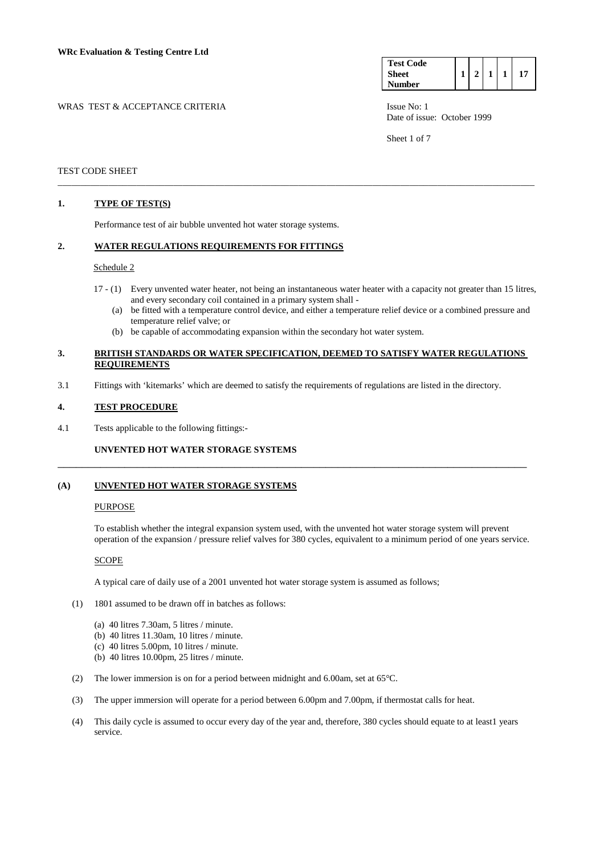WRAS TEST & ACCEPTANCE CRITERIA ISSUE No: 1

| <b>Test Code</b><br><b>Sheet</b> |  |  |  |
|----------------------------------|--|--|--|
| <b>Number</b>                    |  |  |  |

Date of issue: October 1999

Sheet 1 of 7

## TEST CODE SHEET

### **1. TYPE OF TEST(S)**

Performance test of air bubble unvented hot water storage systems.

## **2. WATER REGULATIONS REQUIREMENTS FOR FITTINGS**

### Schedule 2

 17 - (1) Every unvented water heater, not being an instantaneous water heater with a capacity not greater than 15 litres, and every secondary coil contained in a primary system shall -

\_\_\_\_\_\_\_\_\_\_\_\_\_\_\_\_\_\_\_\_\_\_\_\_\_\_\_\_\_\_\_\_\_\_\_\_\_\_\_\_\_\_\_\_\_\_\_\_\_\_\_\_\_\_\_\_\_\_\_\_\_\_\_\_\_\_\_\_\_\_\_\_\_\_\_\_\_\_\_\_\_\_\_\_\_\_\_\_\_\_\_\_\_\_\_\_\_\_\_\_\_\_\_

- (a) be fitted with a temperature control device, and either a temperature relief device or a combined pressure and temperature relief valve; or
- (b) be capable of accommodating expansion within the secondary hot water system.

## **3. BRITISH STANDARDS OR WATER SPECIFICATION, DEEMED TO SATISFY WATER REGULATIONS REQUIREMENTS**

\_\_\_\_\_\_\_\_\_\_\_\_\_\_\_\_\_\_\_\_\_\_\_\_\_\_\_\_\_\_\_\_\_\_\_\_\_\_\_\_\_\_\_\_\_\_\_\_\_\_\_\_\_\_\_\_\_\_\_\_\_\_\_\_\_\_\_\_\_\_\_\_\_\_\_\_\_

3.1 Fittings with 'kitemarks' which are deemed to satisfy the requirements of regulations are listed in the directory.

### **4. TEST PROCEDURE**

4.1 Tests applicable to the following fittings:-

### **UNVENTED HOT WATER STORAGE SYSTEMS**

## **(A) UNVENTED HOT WATER STORAGE SYSTEMS**

#### PURPOSE

 To establish whether the integral expansion system used, with the unvented hot water storage system will prevent operation of the expansion / pressure relief valves for 380 cycles, equivalent to a minimum period of one years service.

#### **SCOPE**

A typical care of daily use of a 2001 unvented hot water storage system is assumed as follows;

- (1) 1801 assumed to be drawn off in batches as follows:
	- (a) 40 litres 7.30am, 5 litres / minute.
	- (b) 40 litres 11.30am, 10 litres / minute.
	- (c) 40 litres 5.00pm, 10 litres / minute.
	- (b) 40 litres 10.00pm, 25 litres / minute.
- (2) The lower immersion is on for a period between midnight and 6.00am, set at 65°C.
- (3) The upper immersion will operate for a period between 6.00pm and 7.00pm, if thermostat calls for heat.
- (4) This daily cycle is assumed to occur every day of the year and, therefore, 380 cycles should equate to at least1 years service.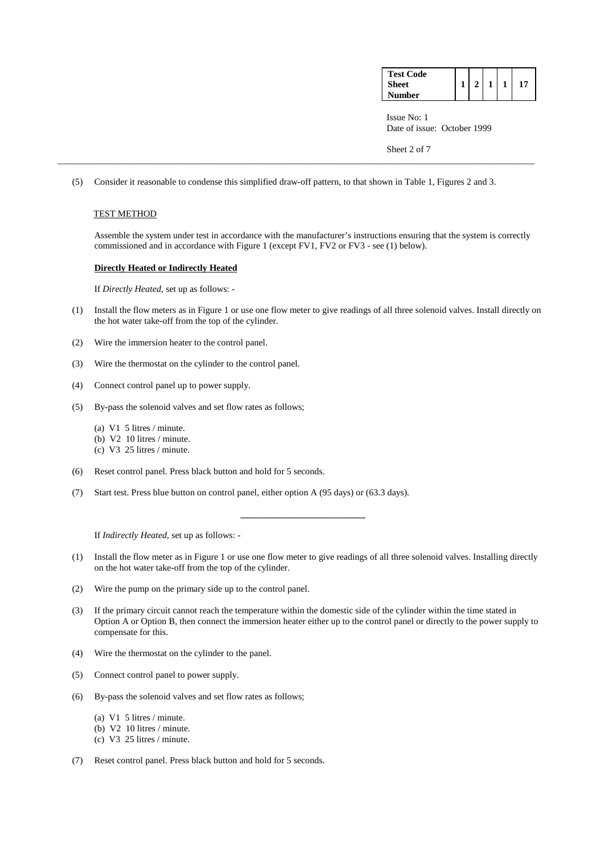| <b>Test Code</b> |  |   |    |
|------------------|--|---|----|
| Sheet            |  | 1 | 17 |
| <b>Number</b>    |  |   |    |

Issue No: 1 Date of issue: October 1999

Sheet 2 of 7

(5) Consider it reasonable to condense this simplified draw-off pattern, to that shown in Table 1, Figures 2 and 3.

\_\_\_\_\_\_\_\_\_\_\_\_\_\_\_\_\_\_\_\_\_\_\_\_\_\_\_\_\_\_\_\_\_\_\_\_\_\_\_\_\_\_\_\_\_\_\_\_\_\_\_\_\_\_\_\_\_\_\_\_\_\_\_\_\_\_\_\_\_\_\_\_\_\_\_\_\_\_\_\_\_\_\_\_\_\_\_\_\_\_\_\_\_\_\_\_\_\_\_\_\_\_\_

#### TEST METHOD

 Assemble the system under test in accordance with the manufacturer's instructions ensuring that the system is correctly commissioned and in accordance with Figure 1 (except FV1, FV2 or FV3 - see (1) below).

#### **Directly Heated or Indirectly Heated**

If *Directly Heated*, set up as follows: -

- (1) Install the flow meters as in Figure 1 or use one flow meter to give readings of all three solenoid valves. Install directly on the hot water take-off from the top of the cylinder.
- (2) Wire the immersion heater to the control panel.
- (3) Wire the thermostat on the cylinder to the control panel.
- (4) Connect control panel up to power supply.
- (5) By-pass the solenoid valves and set flow rates as follows;
	- (a) V1 5 litres / minute.
	- (b) V2 10 litres / minute.
	- (c) V3 25 litres / minute.
- (6) Reset control panel. Press black button and hold for 5 seconds.

 **\_\_\_\_\_\_\_\_\_\_\_\_\_\_\_\_\_\_\_\_\_\_\_\_\_\_\_** 

(7) Start test. Press blue button on control panel, either option A (95 days) or (63.3 days).

If *Indirectly Heated*, set up as follows: -

- (1) Install the flow meter as in Figure 1 or use one flow meter to give readings of all three solenoid valves. Installing directly on the hot water take-off from the top of the cylinder.
- (2) Wire the pump on the primary side up to the control panel.
- (3) If the primary circuit cannot reach the temperature within the domestic side of the cylinder within the time stated in Option A or Option B, then connect the immersion heater either up to the control panel or directly to the power supply to compensate for this.
- (4) Wire the thermostat on the cylinder to the panel.
- (5) Connect control panel to power supply.
- (6) By-pass the solenoid valves and set flow rates as follows;
	- (a) V1 5 litres / minute.
	- (b) V2 10 litres / minute.
	- (c) V3 25 litres / minute.
- (7) Reset control panel. Press black button and hold for 5 seconds.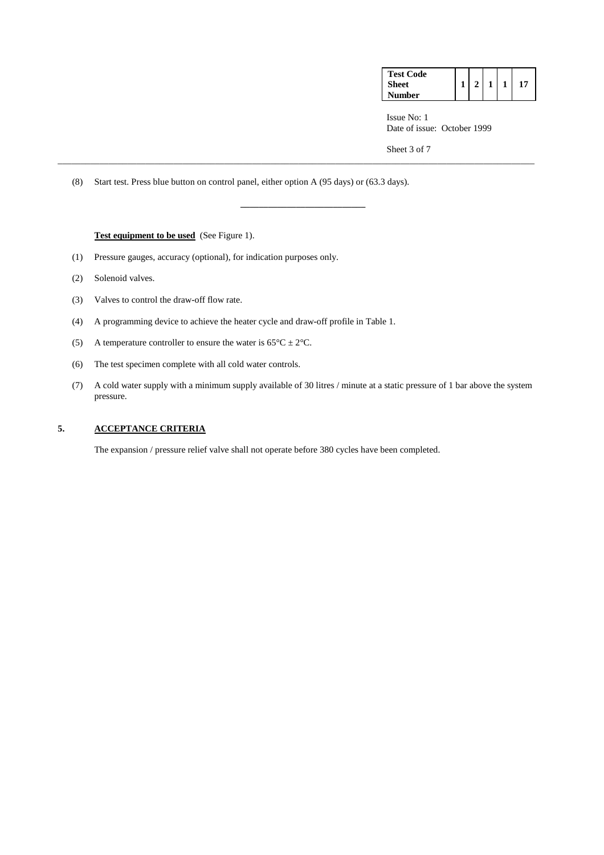| <b>Test Code</b> |  |  |  |
|------------------|--|--|--|
| <b>Sheet</b>     |  |  |  |
| <b>Number</b>    |  |  |  |

 Issue No: 1 Date of issue: October 1999

Sheet 3 of 7

(8) Start test. Press blue button on control panel, either option A (95 days) or (63.3 days).

**Test equipment to be used** (See Figure 1).

(1) Pressure gauges, accuracy (optional), for indication purposes only.

 **\_\_\_\_\_\_\_\_\_\_\_\_\_\_\_\_\_\_\_\_\_\_\_\_\_\_\_** 

- (2) Solenoid valves.
- (3) Valves to control the draw-off flow rate.
- (4) A programming device to achieve the heater cycle and draw-off profile in Table 1.
- (5) A temperature controller to ensure the water is  $65^{\circ}C \pm 2^{\circ}C$ .
- (6) The test specimen complete with all cold water controls.
- (7) A cold water supply with a minimum supply available of 30 litres / minute at a static pressure of 1 bar above the system pressure.

\_\_\_\_\_\_\_\_\_\_\_\_\_\_\_\_\_\_\_\_\_\_\_\_\_\_\_\_\_\_\_\_\_\_\_\_\_\_\_\_\_\_\_\_\_\_\_\_\_\_\_\_\_\_\_\_\_\_\_\_\_\_\_\_\_\_\_\_\_\_\_\_\_\_\_\_\_\_\_\_\_\_\_\_\_\_\_\_\_\_\_\_\_\_\_\_\_\_\_\_\_\_\_

# **5. ACCEPTANCE CRITERIA**

The expansion / pressure relief valve shall not operate before 380 cycles have been completed.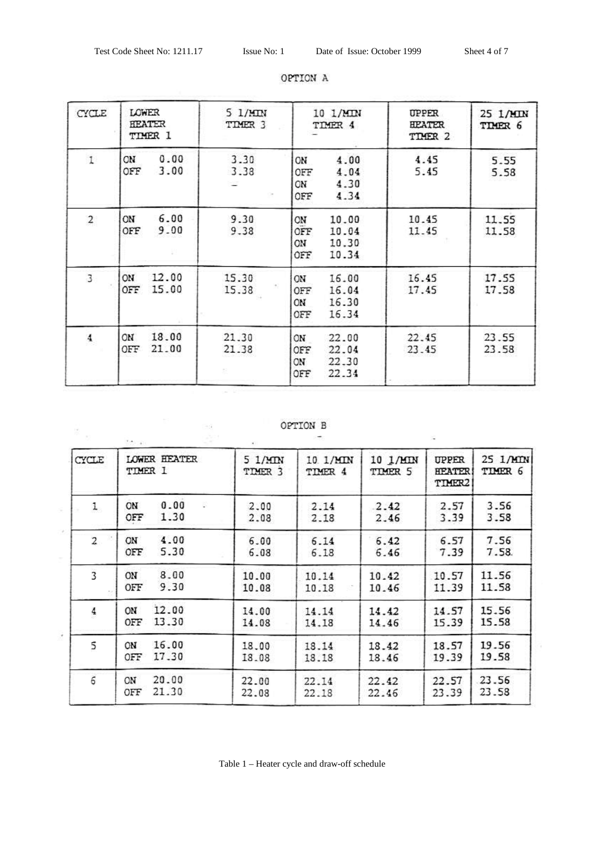| CYCLE                   | LOWER<br><b>HEATHER</b><br>TIMER 1 | 51/Mm<br>TIMER 3 | 10 1/MIN<br>TIMER 4                                               | <b>UPPER</b><br><b>HPATER</b><br>TIMER <sub>2</sub> | 25 1/MIN<br>TIMER 6 |  |
|-------------------------|------------------------------------|------------------|-------------------------------------------------------------------|-----------------------------------------------------|---------------------|--|
| $\mathbf{1}$            | 0.00<br><b>CN</b><br>3.00<br>OFF   | 3.30<br>3.38     | 4.00<br>ON<br>4.04<br>OFF<br>4.30<br>ON<br>4.34<br>OFF            | 4.45<br>5.45                                        | 5.55<br>5.58        |  |
| $\overline{\mathbf{c}}$ | 6.00<br>ON<br>9.00<br>OFF          | 9.30<br>9.38     | 10.00<br>ON<br>OFF<br>10.04<br>10.30<br>ON<br>OFF<br>10.34        | 10.45<br>11.45                                      | 11.55<br>11.58      |  |
| 3                       | 12.00<br>ON<br>15.00<br>OFF        | 15.30<br>15.38   | 16.00<br>ON<br>OFF<br>16.04<br>16.30<br><b>ON</b><br>16.34<br>OFF | 16.45<br>17.45                                      | 17.55<br>17.58      |  |
| 4                       | 18.00<br>ON<br>21.00<br>OFF        | 21.30<br>21.38   | 22.00<br>ON<br>22.04<br>OFF<br>22.30<br>ON<br>22.34<br>OFF        | 22.45<br>23.45                                      | 23.55<br>23.58      |  |

# OPTION A

# OPTION B

 $-1\,$ 

|       | $-14$<br>Tre an                | $\sim$             | OPTION B            |                                |                                         |                     |
|-------|--------------------------------|--------------------|---------------------|--------------------------------|-----------------------------------------|---------------------|
| CYCLE | LOWER HEATER<br>TIMER 1        | 5 1/MIN<br>TIMER 3 | 10 1/MIN<br>TIMER 4 | 10 1/MIN<br>TIMER <sub>5</sub> | <b>UPPER</b><br><b>HEATER</b><br>TIMER2 | 25 1/MIN<br>TIMER 6 |
| 1     | 箴<br>0.00<br>ON<br>1.30<br>OFF | 2.00<br>2.08       | 2.14<br>2.18        | 2.42<br>2.46                   | 2.57<br>3.39                            | 3.56<br>3.58        |
| 2     | 4.00<br>ON<br>5.30<br>OFF      | 6.00<br>6.08       | 6.14<br>6.18        | 6.42<br>6.46                   | 6.57<br>7.39                            | 7.56<br>7.58.       |
| 3     | 8.00<br>ON<br>9.30<br>OFF      | 10.00<br>10.08     | 10.14<br>10.18      | 10.42<br>10.46                 | 10.57<br>11.39                          | 11.56<br>11.58      |
| 4     | 12.00<br>ON<br>13.30<br>OFF    | 14.00<br>14.08     | 14.14<br>14.18      | 14.42<br>14.46                 | 14.57<br>15.39                          | 15.56<br>15.58      |
| 5     | 16.00<br>ON<br>17.30<br>OFF    | 18.00<br>18.08     | 18.14<br>18.18      | 18.42<br>18.46                 | 18.57<br>19.39                          | 19.56<br>19.58      |
| 6     | 20.00<br>ON<br>21.30<br>OFF    | 22.00<br>22.08     | 22.14<br>22.18      | 22.42<br>22.46                 | 22.57<br>23.39                          | 23.56<br>23.58      |

Table 1 – Heater cycle and draw-off schedule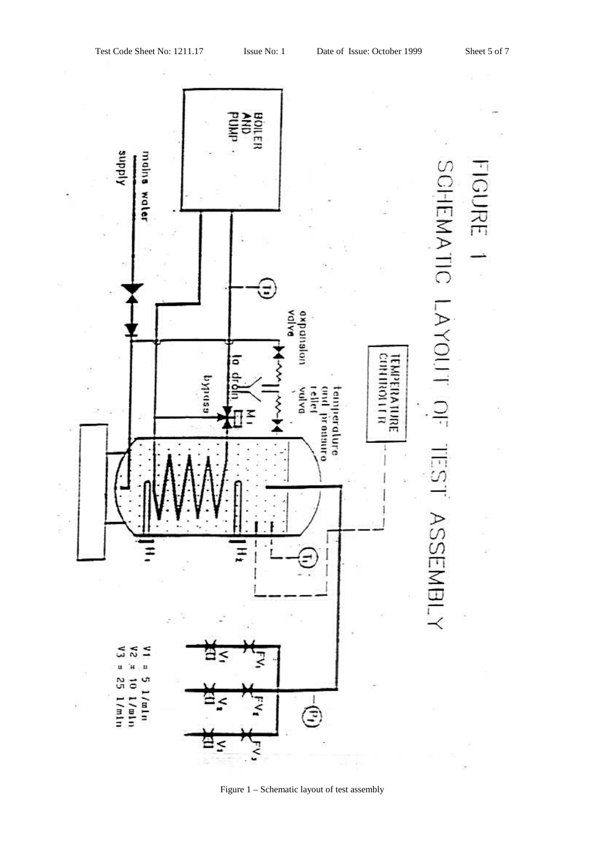

Figure 1 – Schematic layout of test assembly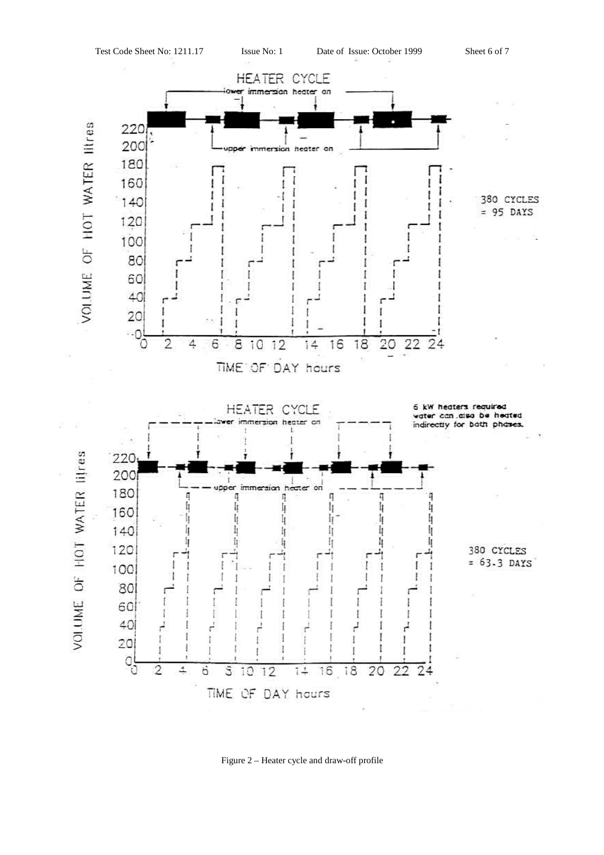

Figure 2 – Heater cycle and draw-off profile